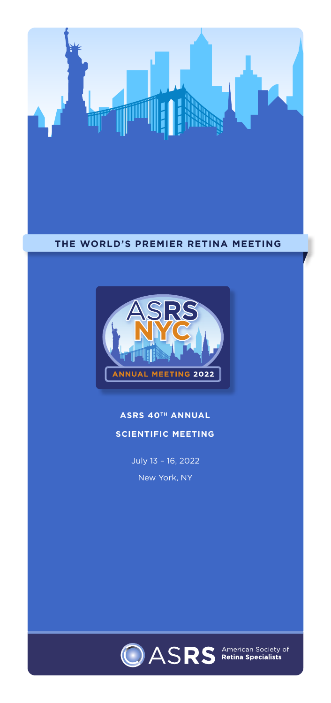

#### **THE WORLD'S PREMIER RETINA MEETING**



# **ASRS 40TH ANNUAL SCIENTIFIC MEETING**

July 13 – 16, 2022 New York, NY

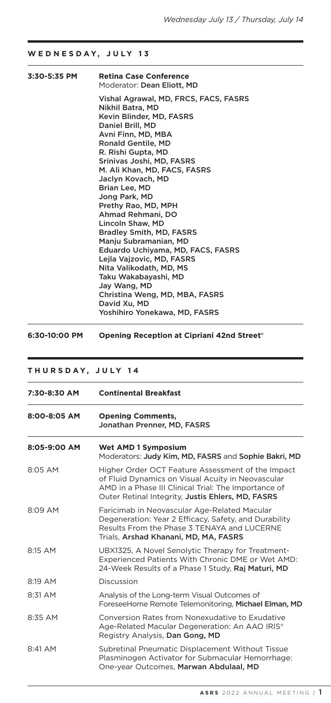### **WEDNESDAY, JULY 13**

| 3:30-5:35 PM | <b>Retina Case Conference</b><br>Moderator: <b>Dean Eliott. MD</b>                                                                                                                                                                                                                                                                                                                                                                                                                                                                                                                                          |
|--------------|-------------------------------------------------------------------------------------------------------------------------------------------------------------------------------------------------------------------------------------------------------------------------------------------------------------------------------------------------------------------------------------------------------------------------------------------------------------------------------------------------------------------------------------------------------------------------------------------------------------|
|              | Vishal Agrawal, MD, FRCS, FACS, FASRS<br>Nikhil Batra, MD<br>Kevin Blinder, MD, FASRS<br>Daniel Brill, MD<br>Avni Finn, MD, MBA<br>Ronald Gentile, MD<br>R. Rishi Gupta, MD<br>Srinivas Joshi, MD, FASRS<br>M. Ali Khan, MD, FACS, FASRS<br>Jaclyn Kovach, MD<br>Brian Lee, MD<br>Jong Park, MD<br>Prethy Rao, MD, MPH<br>Ahmad Rehmani, DO<br>Lincoln Shaw. MD<br>Bradley Smith, MD, FASRS<br>Maniu Subramanian, MD<br>Eduardo Uchiyama, MD, FACS, FASRS<br>Lejla Vajzovic, MD, FASRS<br>Nita Valikodath, MD, MS<br>Taku Wakabayashi, MD<br>Jav Wang, MD<br>Christina Weng, MD, MBA, FASRS<br>David Xu. MD |
|              | Yoshihiro Yonekawa, MD, FASRS                                                                                                                                                                                                                                                                                                                                                                                                                                                                                                                                                                               |

**6:30-10:00 PM Opening Reception at Cipriani 42nd Street®**

## **THURSDAY, JULY 14**

| 7:30-8:30 AM | <b>Continental Breakfast</b>                                                                                                                                                                                        |  |  |  |  |
|--------------|---------------------------------------------------------------------------------------------------------------------------------------------------------------------------------------------------------------------|--|--|--|--|
| 8:00-8:05 AM | <b>Opening Comments,</b><br>Jonathan Prenner, MD, FASRS                                                                                                                                                             |  |  |  |  |
| 8:05-9:00 AM | Wet AMD 1 Symposium<br>Moderators: Judy Kim, MD, FASRS and Sophie Bakri, MD                                                                                                                                         |  |  |  |  |
| 8:05 AM      | Higher Order OCT Feature Assessment of the Impact<br>of Fluid Dynamics on Visual Acuity in Neovascular<br>AMD in a Phase III Clinical Trial: The Importance of<br>Outer Retinal Integrity, Justis Ehlers, MD, FASRS |  |  |  |  |
| 8:09 AM      | Faricimab in Neovascular Age-Related Macular<br>Degeneration: Year 2 Efficacy, Safety, and Durability<br>Results From the Phase 3 TENAYA and LUCERNE<br>Trials, Arshad Khanani, MD, MA, FASRS                       |  |  |  |  |
| 8:15 AM      | UBX1325, A Novel Senolytic Therapy for Treatment-<br>Experienced Patients With Chronic DME or Wet AMD:<br>24-Week Results of a Phase 1 Study, Raj Maturi, MD                                                        |  |  |  |  |
| 8:19 AM      | Discussion                                                                                                                                                                                                          |  |  |  |  |
| 8:31 AM      | Analysis of the Long-term Visual Outcomes of<br>ForeseeHome Remote Telemonitoring, Michael Elman, MD                                                                                                                |  |  |  |  |
| 8:35 AM      | Conversion Rates from Nonexudative to Exudative<br>Age-Related Macular Degeneration: An AAO IRIS®<br>Registry Analysis, Dan Gong, MD                                                                                |  |  |  |  |
| $8.41$ AM    | Subretinal Pneumatic Displacement Without Tissue<br>Plasminogen Activator for Submacular Hemorrhage:<br>One-year Outcomes, Marwan Abdulaal, MD                                                                      |  |  |  |  |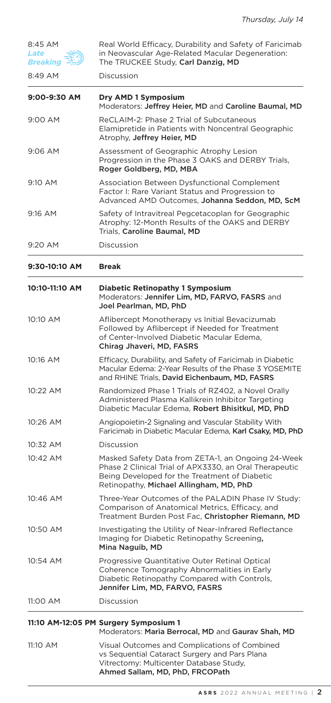| 8:45 AM<br>Late<br>Breaking | Real World Efficacy, Durability and Safety of Faricimab<br>in Neovascular Age-Related Macular Degeneration:<br>The TRUCKEE Study, Carl Danzig, MD                                                        |  |
|-----------------------------|----------------------------------------------------------------------------------------------------------------------------------------------------------------------------------------------------------|--|
| 8:49 AM                     | Discussion                                                                                                                                                                                               |  |
| 9:00-9:30 AM                | Dry AMD 1 Symposium<br>Moderators: Jeffrey Heier, MD and Caroline Baumal, MD                                                                                                                             |  |
| 9:00 AM                     | ReCLAIM-2: Phase 2 Trial of Subcutaneous<br>Elamipretide in Patients with Noncentral Geographic<br>Atrophy, Jeffrey Heier, MD                                                                            |  |
| $9:06$ AM                   | Assessment of Geographic Atrophy Lesion<br>Progression in the Phase 3 OAKS and DERBY Trials,<br>Roger Goldberg, MD, MBA                                                                                  |  |
| 9:10 AM                     | Association Between Dysfunctional Complement<br>Factor I: Rare Variant Status and Progression to<br>Advanced AMD Outcomes, Johanna Seddon, MD, ScM                                                       |  |
| 9:16 AM                     | Safety of Intravitreal Pegcetacoplan for Geographic<br>Atrophy: 12-Month Results of the OAKS and DERBY<br>Trials, Caroline Baumal, MD                                                                    |  |
| 9:20 AM                     | Discussion                                                                                                                                                                                               |  |
| 9:30-10:10 AM               | <b>Break</b>                                                                                                                                                                                             |  |
| 10:10-11:10 AM              | <b>Diabetic Retinopathy 1 Symposium</b><br>Moderators: Jennifer Lim, MD, FARVO, FASRS and<br>Joel Pearlman, MD, PhD                                                                                      |  |
| 10:10 AM                    | Aflibercept Monotherapy vs Initial Bevacizumab<br>Followed by Aflibercept if Needed for Treatment<br>of Center-Involved Diabetic Macular Edema,<br>Chirag Jhaveri, MD, FASRS                             |  |
| 10:16 AM                    | Efficacy, Durability, and Safety of Faricimab in Diabetic<br>Macular Edema: 2-Year Results of the Phase 3 YOSEMITE<br>and RHINE Trials, David Eichenbaum, MD, FASRS                                      |  |
| 10:22 AM                    | Randomized Phase 1 Trials of RZ402, a Novel Orally<br>Administered Plasma Kallikrein Inhibitor Targeting<br>Diabetic Macular Edema, Robert Bhisitkul, MD, PhD                                            |  |
| 10:26 AM                    | Angiopoietin-2 Signaling and Vascular Stability With<br>Faricimab in Diabetic Macular Edema, Karl Csaky, MD, PhD                                                                                         |  |
| 10:32 AM                    | Discussion                                                                                                                                                                                               |  |
| 10:42 AM                    | Masked Safety Data from ZETA-1, an Ongoing 24-Week<br>Phase 2 Clinical Trial of APX3330, an Oral Therapeutic<br>Being Developed for the Treatment of Diabetic<br>Retinopathy, Michael Allingham, MD, PhD |  |
| 10:46 AM                    | Three-Year Outcomes of the PALADIN Phase IV Study:<br>Comparison of Anatomical Metrics, Efficacy, and<br>Treatment Burden Post Fac, Christopher Riemann, MD                                              |  |
| 10:50 AM                    | Investigating the Utility of Near-Infrared Reflectance<br>Imaging for Diabetic Retinopathy Screening,<br>Mina Naguib, MD                                                                                 |  |
| 10:54 AM                    | Progressive Quantitative Outer Retinal Optical<br>Coherence Tomography Abnormalities in Early<br>Diabetic Retinopathy Compared with Controls,<br>Jennifer Lim, MD, FARVO, FASRS                          |  |
| 11:00 AM                    | Discussion                                                                                                                                                                                               |  |
|                             | 11:10 AM-12:05 PM Surgery Symposium 1<br>Moderators: Maria Berrocal, MD and Gaurav Shah, MD                                                                                                              |  |
| 11:10 AM                    | Visual Outcomes and Complications of Combined<br>vs Sequential Cataract Surgery and Pars Plana<br>Vitrectomy: Multicenter Database Study,<br>Ahmed Sallam, MD, PhD, FRCOPath                             |  |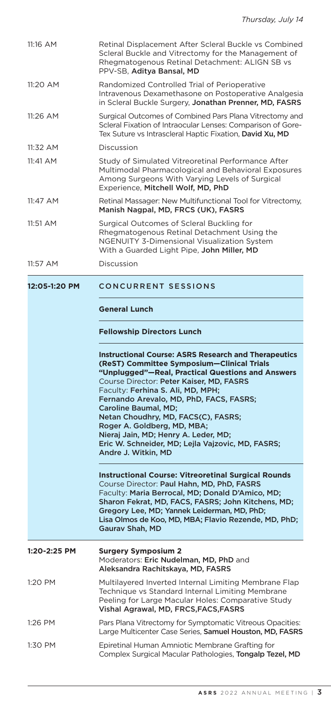| 11:16 AM      | Retinal Displacement After Scleral Buckle vs Combined<br>Scleral Buckle and Vitrectomy for the Management of<br>Rhegmatogenous Retinal Detachment: ALIGN SB vs<br>PPV-SB, Aditya Bansal, MD                                                                                                                                                                                                                                                                                                                  |
|---------------|--------------------------------------------------------------------------------------------------------------------------------------------------------------------------------------------------------------------------------------------------------------------------------------------------------------------------------------------------------------------------------------------------------------------------------------------------------------------------------------------------------------|
| 11:20 AM      | Randomized Controlled Trial of Perioperative<br>Intravenous Dexamethasone on Postoperative Analgesia<br>in Scleral Buckle Surgery, Jonathan Prenner, MD, FASRS                                                                                                                                                                                                                                                                                                                                               |
| 11:26 AM      | Surgical Outcomes of Combined Pars Plana Vitrectomy and<br>Scleral Fixation of Intraocular Lenses: Comparison of Gore-<br>Tex Suture vs Intrascleral Haptic Fixation, David Xu, MD                                                                                                                                                                                                                                                                                                                           |
| 11:32 AM      | Discussion                                                                                                                                                                                                                                                                                                                                                                                                                                                                                                   |
| 11:41 AM      | Study of Simulated Vitreoretinal Performance After<br>Multimodal Pharmacological and Behavioral Exposures<br>Among Surgeons With Varying Levels of Surgical<br>Experience, Mitchell Wolf, MD, PhD                                                                                                                                                                                                                                                                                                            |
| 11:47 AM      | Retinal Massager: New Multifunctional Tool for Vitrectomy,<br>Manish Nagpal, MD, FRCS (UK), FASRS                                                                                                                                                                                                                                                                                                                                                                                                            |
| 11:51 AM      | Surgical Outcomes of Scleral Buckling for<br>Rhegmatogenous Retinal Detachment Using the<br><b>NGENUITY 3-Dimensional Visualization System</b><br>With a Guarded Light Pipe, John Miller, MD                                                                                                                                                                                                                                                                                                                 |
| 11:57 AM      | Discussion                                                                                                                                                                                                                                                                                                                                                                                                                                                                                                   |
| 12:05-1:20 PM | <b>CONCURRENT SESSIONS</b>                                                                                                                                                                                                                                                                                                                                                                                                                                                                                   |
|               | <b>General Lunch</b>                                                                                                                                                                                                                                                                                                                                                                                                                                                                                         |
|               | <b>Fellowship Directors Lunch</b>                                                                                                                                                                                                                                                                                                                                                                                                                                                                            |
|               | <b>Instructional Course: ASRS Research and Therapeutics</b><br>(ReST) Committee Symposium-Clinical Trials<br>"Unplugged"-Real, Practical Questions and Answers<br>Course Director: Peter Kaiser, MD, FASRS<br>Faculty: Ferhina S. Ali, MD, MPH;<br>Fernando Arevalo, MD, PhD, FACS, FASRS;<br>Caroline Baumal, MD;<br>Netan Choudhry, MD, FACS(C), FASRS;<br>Roger A. Goldberg, MD, MBA;<br>Nieraj Jain, MD; Henry A. Leder, MD;<br>Eric W. Schneider, MD; Lejla Vajzovic, MD, FASRS;<br>Andre J. Witkin, MD |
|               | <b>Instructional Course: Vitreoretinal Surgical Rounds</b><br>Course Director: Paul Hahn, MD, PhD, FASRS<br>Faculty: Maria Berrocal, MD; Donald D'Amico, MD;                                                                                                                                                                                                                                                                                                                                                 |
|               | Sharon Fekrat, MD, FACS, FASRS; John Kitchens, MD;<br>Gregory Lee, MD; Yannek Leiderman, MD, PhD;<br>Lisa Olmos de Koo, MD, MBA; Flavio Rezende, MD, PhD;<br>Gaurav Shah, MD                                                                                                                                                                                                                                                                                                                                 |
| 1:20-2:25 PM  | <b>Surgery Symposium 2</b><br>Moderators: Eric Nudelman, MD, PhD and<br>Aleksandra Rachitskaya, MD, FASRS                                                                                                                                                                                                                                                                                                                                                                                                    |

- Technique vs Standard Internal Limiting Membrane Peeling for Large Macular Holes: Comparative Study Vishal Agrawal, MD, FRCS,FACS,FASRS 1:26 PM Pars Plana Vitrectomy for Symptomatic Vitreous Opacities: Large Multicenter Case Series, Samuel Houston, MD, FASRS
- 1:30 PM Epiretinal Human Amniotic Membrane Grafting for Complex Surgical Macular Pathologies, Tongalp Tezel, MD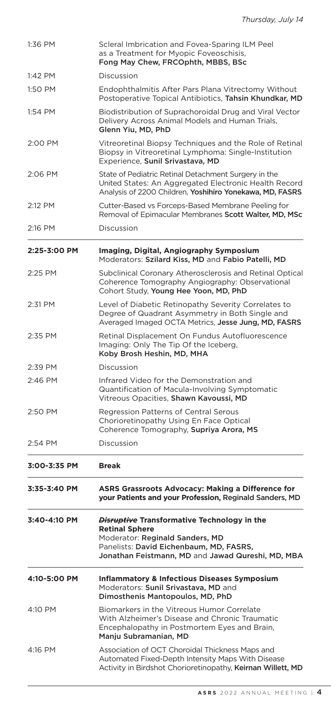| 1:36 PM                                                                                                                                                                                                                               | Scleral Imbrication and Fovea-Sparing ILM Peel<br>as a Treatment for Myopic Foveoschisis,<br>Fong May Chew, FRCOphth, MBBS, BSc                                           |  |  |  |
|---------------------------------------------------------------------------------------------------------------------------------------------------------------------------------------------------------------------------------------|---------------------------------------------------------------------------------------------------------------------------------------------------------------------------|--|--|--|
| 1:42 PM                                                                                                                                                                                                                               | Discussion                                                                                                                                                                |  |  |  |
| 1:50 PM                                                                                                                                                                                                                               | Endophthalmitis After Pars Plana Vitrectomy Without<br>Postoperative Topical Antibiotics, Tahsin Khundkar, MD                                                             |  |  |  |
| 1:54 PM                                                                                                                                                                                                                               | Biodistribution of Suprachoroidal Drug and Viral Vector<br>Delivery Across Animal Models and Human Trials,<br>Glenn Yiu, MD, PhD                                          |  |  |  |
| 2:00 PM                                                                                                                                                                                                                               | Vitreoretinal Biopsy Techniques and the Role of Retinal<br>Biopsy in Vitreoretinal Lymphoma: Single-Institution<br>Experience, Sunil Srivastava, MD                       |  |  |  |
| 2:06 PM                                                                                                                                                                                                                               | State of Pediatric Retinal Detachment Surgery in the<br>United States: An Aggregated Electronic Health Record<br>Analysis of 2200 Children, Yoshihiro Yonekawa, MD, FASRS |  |  |  |
| 2:12 PM                                                                                                                                                                                                                               | Cutter-Based vs Forceps-Based Membrane Peeling for<br>Removal of Epimacular Membranes Scott Walter, MD, MSc                                                               |  |  |  |
| 2:16 PM                                                                                                                                                                                                                               | Discussion                                                                                                                                                                |  |  |  |
| 2:25-3:00 PM                                                                                                                                                                                                                          | Imaging, Digital, Angiography Symposium<br>Moderators: Szilard Kiss, MD and Fabio Patelli, MD                                                                             |  |  |  |
| 2:25 PM                                                                                                                                                                                                                               | Subclinical Coronary Atherosclerosis and Retinal Optical<br>Coherence Tomography Angiography: Observational<br>Cohort Study, Young Hee Yoon, MD, PhD                      |  |  |  |
| 2:31 PM                                                                                                                                                                                                                               | Level of Diabetic Retinopathy Severity Correlates to<br>Degree of Quadrant Asymmetry in Both Single and<br>Averaged Imaged OCTA Metrics, Jesse Jung, MD, FASRS            |  |  |  |
| 2:35 PM                                                                                                                                                                                                                               | Retinal Displacement On Fundus Autofluorescence<br>Imaging: Only The Tip Of the Iceberg,<br>Koby Brosh Heshin, MD, MHA                                                    |  |  |  |
| 2:39 PM                                                                                                                                                                                                                               | Discussion                                                                                                                                                                |  |  |  |
| 2:46 PM                                                                                                                                                                                                                               | Infrared Video for the Demonstration and<br>Quantification of Macula-Involving Symptomatic<br>Vitreous Opacities, Shawn Kavoussi, MD                                      |  |  |  |
| 2:50 PM                                                                                                                                                                                                                               | Regression Patterns of Central Serous<br>Chorioretinopathy Using En Face Optical<br>Coherence Tomography, Supriya Arora, MS                                               |  |  |  |
| 2:54 PM                                                                                                                                                                                                                               | Discussion                                                                                                                                                                |  |  |  |
| 3:00-3:35 PM                                                                                                                                                                                                                          | <b>Break</b>                                                                                                                                                              |  |  |  |
| 3:35-3:40 PM                                                                                                                                                                                                                          | <b>ASRS Grassroots Advocacy: Making a Difference for</b><br>your Patients and your Profession, Reginald Sanders, MD                                                       |  |  |  |
| 3:40-4:10 PM<br><b><i>Disruptive</i> Transformative Technology in the</b><br><b>Retinal Sphere</b><br>Moderator: Reginald Sanders, MD<br>Panelists: David Eichenbaum, MD, FASRS,<br>Jonathan Feistmann, MD and Jawad Qureshi, MD, MBA |                                                                                                                                                                           |  |  |  |
| 4:10-5:00 PM                                                                                                                                                                                                                          | <b>Inflammatory &amp; Infectious Diseases Symposium</b><br>Moderators: Sunil Srivastava, MD and<br>Dimosthenis Mantopoulos, MD, PhD                                       |  |  |  |
| 4:10 PM                                                                                                                                                                                                                               | Biomarkers in the Vitreous Humor Correlate<br>With Alzheimer's Disease and Chronic Traumatic<br>Encephalopathy in Postmortem Eyes and Brain,<br>Manju Subramanian, MD     |  |  |  |
| 4:16 PM                                                                                                                                                                                                                               | Association of OCT Choroidal Thickness Maps and<br>Automated Fixed-Depth Intensity Maps With Disease<br>Activity in Birdshot Chorioretinopathy, Keirnan Willett, MD       |  |  |  |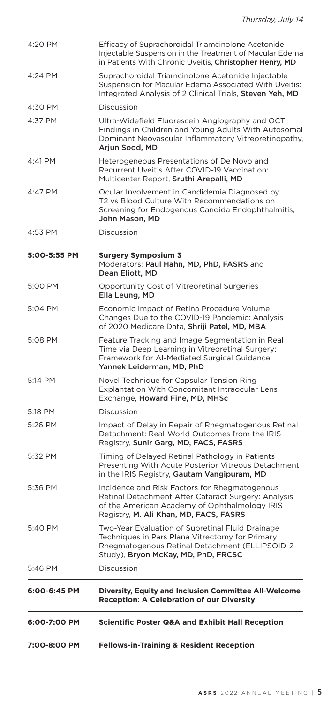| 7:00-8:00 PM | <b>Fellows-in-Training &amp; Resident Reception</b>                                                                                                                                             |
|--------------|-------------------------------------------------------------------------------------------------------------------------------------------------------------------------------------------------|
| 6:00-7:00 PM | <b>Scientific Poster Q&amp;A and Exhibit Hall Reception</b>                                                                                                                                     |
| 6:00-6:45 PM | Diversity, Equity and Inclusion Committee All-Welcome<br><b>Reception: A Celebration of our Diversity</b>                                                                                       |
| 5:46 PM      | Discussion                                                                                                                                                                                      |
| 5:40 PM      | Two-Year Evaluation of Subretinal Fluid Drainage<br>Techniques in Pars Plana Vitrectomy for Primary<br>Rhegmatogenous Retinal Detachment (ELLIPSOID-2<br>Study), Bryon McKay, MD, PhD, FRCSC    |
| 5:36 PM      | Incidence and Risk Factors for Rhegmatogenous<br>Retinal Detachment After Cataract Surgery: Analysis<br>of the American Academy of Ophthalmology IRIS<br>Registry, M. Ali Khan, MD, FACS, FASRS |
| 5:32 PM      | Timing of Delayed Retinal Pathology in Patients<br>Presenting With Acute Posterior Vitreous Detachment<br>in the IRIS Registry, Gautam Vangipuram, MD                                           |
| 5:26 PM      | Impact of Delay in Repair of Rhegmatogenous Retinal<br>Detachment: Real-World Outcomes from the IRIS<br>Registry, Sunir Garg, MD, FACS, FASRS                                                   |
| 5:18 PM      | Discussion                                                                                                                                                                                      |
| 5:14 PM      | Novel Technique for Capsular Tension Ring<br>Explantation With Concomitant Intraocular Lens<br>Exchange, Howard Fine, MD, MHSc                                                                  |
| 5:08 PM      | Feature Tracking and Image Segmentation in Real<br>Time via Deep Learning in Vitreoretinal Surgery:<br>Framework for AI-Mediated Surgical Guidance,<br>Yannek Leiderman, MD, PhD                |
| 5:04 PM      | Economic Impact of Retina Procedure Volume<br>Changes Due to the COVID-19 Pandemic: Analysis<br>of 2020 Medicare Data, Shriji Patel, MD, MBA                                                    |
| 5:00 PM      | Opportunity Cost of Vitreoretinal Surgeries<br>Ella Leung, MD                                                                                                                                   |
| 5:00-5:55 PM | <b>Surgery Symposium 3</b><br>Moderators: Paul Hahn, MD, PhD, FASRS and<br>Dean Eliott, MD                                                                                                      |
| 4:53 PM      | Discussion                                                                                                                                                                                      |
| 4:47 PM      | Ocular Involvement in Candidemia Diagnosed by<br>T2 vs Blood Culture With Recommendations on<br>Screening for Endogenous Candida Endophthalmitis,<br>John Mason, MD                             |
| 4:41 PM      | Heterogeneous Presentations of De Novo and<br>Recurrent Uveitis After COVID-19 Vaccination:<br>Multicenter Report, Sruthi Arepalli, MD                                                          |
| 4:37 PM      | Ultra-Widefield Fluorescein Angiography and OCT<br>Findings in Children and Young Adults With Autosomal<br>Dominant Neovascular Inflammatory Vitreoretinopathy,<br>Arjun Sood, MD               |
| 4:30 PM      | Discussion                                                                                                                                                                                      |
| 4:24 PM      | Suprachoroidal Triamcinolone Acetonide Injectable<br>Suspension for Macular Edema Associated With Uveitis:<br>Integrated Analysis of 2 Clinical Trials, Steven Yeh, MD                          |
| 4:20 PM      | Efficacy of Suprachoroidal Triamcinolone Acetonide<br>Injectable Suspension in the Treatment of Macular Edema<br>in Patients With Chronic Uveitis, Christopher Henry, MD                        |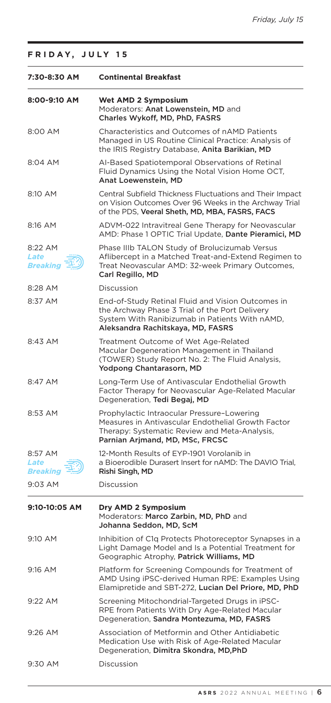|  |  |  |  |  |  |  |  |  |  | FRIDAY, JULY 15 |  |
|--|--|--|--|--|--|--|--|--|--|-----------------|--|
|--|--|--|--|--|--|--|--|--|--|-----------------|--|

| 7:30-8:30 AM                       | <b>Continental Breakfast</b>                                                                                                                                                               |
|------------------------------------|--------------------------------------------------------------------------------------------------------------------------------------------------------------------------------------------|
| 8:00-9:10 AM                       | Wet AMD 2 Symposium<br>Moderators: Anat Lowenstein, MD and<br>Charles Wykoff, MD, PhD, FASRS                                                                                               |
| 8:00 AM                            | Characteristics and Outcomes of nAMD Patients<br>Managed in US Routine Clinical Practice: Analysis of<br>the IRIS Registry Database, Anita Barikian, MD                                    |
| 8:04 AM                            | AI-Based Spatiotemporal Observations of Retinal<br>Fluid Dynamics Using the Notal Vision Home OCT,<br>Anat Loewenstein, MD                                                                 |
| 8:10 AM                            | Central Subfield Thickness Fluctuations and Their Impact<br>on Vision Outcomes Over 96 Weeks in the Archway Trial<br>of the PDS, Veeral Sheth, MD, MBA, FASRS, FACS                        |
| 8:16 AM                            | ADVM-022 Intravitreal Gene Therapy for Neovascular<br>AMD: Phase 1 OPTIC Trial Update, Dante Pieramici, MD                                                                                 |
| 8:22 AM<br>Late<br><b>Breaking</b> | Phase IIIb TALON Study of Brolucizumab Versus<br>Aflibercept in a Matched Treat-and-Extend Regimen to<br>Treat Neovascular AMD: 32-week Primary Outcomes,<br>Carl Regillo, MD              |
| 8:28 AM                            | Discussion                                                                                                                                                                                 |
| 8:37 AM                            | End-of-Study Retinal Fluid and Vision Outcomes in<br>the Archway Phase 3 Trial of the Port Delivery<br>System With Ranibizumab in Patients With nAMD,<br>Aleksandra Rachitskaya, MD, FASRS |
| 8:43 AM                            | Treatment Outcome of Wet Age-Related<br>Macular Degeneration Management in Thailand<br>(TOWER) Study Report No. 2: The Fluid Analysis,<br>Yodpong Chantarasorn, MD                         |
| 8:47 AM                            | Long-Term Use of Antivascular Endothelial Growth<br>Factor Therapy for Neovascular Age-Related Macular<br>Degeneration, Tedi Begaj, MD                                                     |
| 8:53 AM                            | Prophylactic Intraocular Pressure-Lowering<br>Measures in Antivascular Endothelial Growth Factor<br>Therapy: Systematic Review and Meta-Analysis,<br>Parnian Arjmand, MD, MSc, FRCSC       |
| 8:57 AM<br>Late<br>Breaking        | 12-Month Results of EYP-1901 Vorolanib in<br>a Bioerodible Durasert Insert for nAMD: The DAVIO Trial,<br>Rishi Singh, MD                                                                   |
| 9:03 AM                            | Discussion                                                                                                                                                                                 |
| 9:10-10:05 AM                      | Dry AMD 2 Symposium<br>Moderators: Marco Zarbin, MD, PhD and<br>Johanna Seddon, MD, ScM                                                                                                    |
| 9:10 AM                            | Inhibition of C1q Protects Photoreceptor Synapses in a<br>Light Damage Model and Is a Potential Treatment for<br>Geographic Atrophy, Patrick Williams, MD                                  |
| 9:16 AM                            | Platform for Screening Compounds for Treatment of<br>AMD Using iPSC-derived Human RPE: Examples Using<br>Elamipretide and SBT-272, Lucian Del Priore, MD, PhD                              |
| 9:22 AM                            | Screening Mitochondrial-Targeted Drugs in iPSC-<br>RPE from Patients With Dry Age-Related Macular<br>Degeneration, Sandra Montezuma, MD, FASRS                                             |
| $9:26$ AM                          | Association of Metformin and Other Antidiabetic<br>Medication Use with Risk of Age-Related Macular<br>Degeneration, Dimitra Skondra, MD, PhD                                               |
| 9:30 AM                            | Discussion                                                                                                                                                                                 |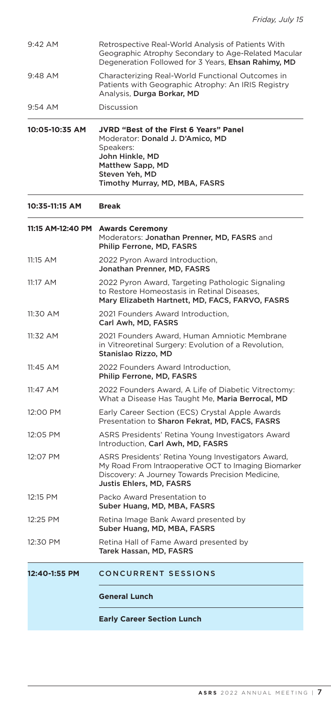| 9:42 AM           | Retrospective Real-World Analysis of Patients With<br>Geographic Atrophy Secondary to Age-Related Macular<br>Degeneration Followed for 3 Years, Ehsan Rahimy, MD                           |  |  |  |
|-------------------|--------------------------------------------------------------------------------------------------------------------------------------------------------------------------------------------|--|--|--|
| 9:48 AM           | Characterizing Real-World Functional Outcomes in<br>Patients with Geographic Atrophy: An IRIS Registry<br>Analysis, Durga Borkar, MD                                                       |  |  |  |
| 9:54 AM           | Discussion                                                                                                                                                                                 |  |  |  |
| 10:05-10:35 AM    | <b>JVRD "Best of the First 6 Years" Panel</b><br>Moderator: Donald J. D'Amico, MD<br>Speakers:<br>John Hinkle, MD<br>Matthew Sapp, MD<br>Steven Yeh, MD<br>Timothy Murray, MD, MBA, FASRS  |  |  |  |
| 10:35-11:15 AM    | <b>Break</b>                                                                                                                                                                               |  |  |  |
| 11:15 AM-12:40 PM | <b>Awards Ceremony</b><br>Moderators: Jonathan Prenner, MD, FASRS and<br>Philip Ferrone, MD, FASRS                                                                                         |  |  |  |
| 11:15 AM          | 2022 Pyron Award Introduction,<br>Jonathan Prenner, MD, FASRS                                                                                                                              |  |  |  |
| 11:17 AM          | 2022 Pyron Award, Targeting Pathologic Signaling<br>to Restore Homeostasis in Retinal Diseases,<br>Mary Elizabeth Hartnett, MD, FACS, FARVO, FASRS                                         |  |  |  |
| 11:30 AM          | 2021 Founders Award Introduction,<br>Carl Awh, MD, FASRS                                                                                                                                   |  |  |  |
| 11:32 AM          | 2021 Founders Award, Human Amniotic Membrane<br>in Vitreoretinal Surgery: Evolution of a Revolution,<br>Stanislao Rizzo, MD                                                                |  |  |  |
| 11:45 AM          | 2022 Founders Award Introduction.<br>Philip Ferrone, MD, FASRS                                                                                                                             |  |  |  |
| 11:47 AM          | 2022 Founders Award, A Life of Diabetic Vitrectomy:<br>What a Disease Has Taught Me, Maria Berrocal, MD                                                                                    |  |  |  |
| 12:00 PM          | Early Career Section (ECS) Crystal Apple Awards<br>Presentation to Sharon Fekrat, MD, FACS, FASRS                                                                                          |  |  |  |
| 12:05 PM          | ASRS Presidents' Retina Young Investigators Award<br>Introduction, Carl Awh, MD, FASRS                                                                                                     |  |  |  |
| 12:07 PM          | ASRS Presidents' Retina Young Investigators Award,<br>My Road From Intraoperative OCT to Imaging Biomarker<br>Discovery: A Journey Towards Precision Medicine,<br>Justis Ehlers, MD, FASRS |  |  |  |
| 12:15 PM          | Packo Award Presentation to<br>Suber Huang, MD, MBA, FASRS                                                                                                                                 |  |  |  |
| 12:25 PM          | Retina Image Bank Award presented by<br>Suber Huang, MD, MBA, FASRS                                                                                                                        |  |  |  |
| 12:30 PM          | Retina Hall of Fame Award presented by<br>Tarek Hassan, MD, FASRS                                                                                                                          |  |  |  |
| 12:40-1:55 PM     | <b>CONCURRENT SESSIONS</b>                                                                                                                                                                 |  |  |  |
|                   | <b>General Lunch</b>                                                                                                                                                                       |  |  |  |
|                   | <b>Early Career Section Lunch</b>                                                                                                                                                          |  |  |  |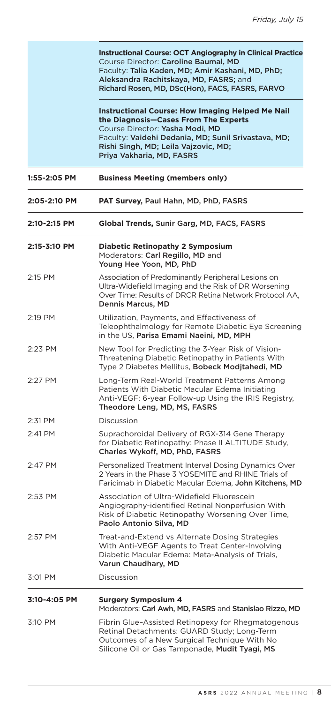۳

|              | <b>Instructional Course: OCT Angiography in Clinical Practice</b><br>Course Director: Caroline Baumal, MD<br>Faculty: Talia Kaden, MD; Amir Kashani, MD, PhD;<br>Aleksandra Rachitskaya, MD, FASRS; and<br>Richard Rosen, MD, DSc(Hon), FACS, FASRS, FARVO<br><b>Instructional Course: How Imaging Helped Me Nail</b><br>the Diagnosis-Cases From The Experts |
|--------------|---------------------------------------------------------------------------------------------------------------------------------------------------------------------------------------------------------------------------------------------------------------------------------------------------------------------------------------------------------------|
|              | Course Director: Yasha Modi, MD<br>Faculty: Vaidehi Dedania, MD; Sunil Srivastava, MD;<br>Rishi Singh, MD; Leila Vajzovic, MD;<br>Priya Vakharia, MD, FASRS                                                                                                                                                                                                   |
| 1:55-2:05 PM | <b>Business Meeting (members only)</b>                                                                                                                                                                                                                                                                                                                        |
| 2:05-2:10 PM | PAT Survey, Paul Hahn, MD, PhD, FASRS                                                                                                                                                                                                                                                                                                                         |
| 2:10-2:15 PM | Global Trends, Sunir Garg, MD, FACS, FASRS                                                                                                                                                                                                                                                                                                                    |
| 2:15-3:10 PM | <b>Diabetic Retinopathy 2 Symposium</b><br>Moderators: Carl Regillo, MD and<br>Young Hee Yoon, MD, PhD                                                                                                                                                                                                                                                        |
| 2:15 PM      | Association of Predominantly Peripheral Lesions on<br>Ultra-Widefield Imaging and the Risk of DR Worsening<br>Over Time: Results of DRCR Retina Network Protocol AA,<br>Dennis Marcus, MD                                                                                                                                                                     |
| 2:19 PM      | Utilization, Payments, and Effectiveness of<br>Teleophthalmology for Remote Diabetic Eye Screening<br>in the US, <b>Parisa Emami Naeini, MD, MPH</b>                                                                                                                                                                                                          |
| 2:23 PM      | New Tool for Predicting the 3-Year Risk of Vision-<br>Threatening Diabetic Retinopathy in Patients With<br>Type 2 Diabetes Mellitus, Bobeck Moditahedi, MD                                                                                                                                                                                                    |
| 2:27 PM      | Long-Term Real-World Treatment Patterns Among<br>Patients With Diabetic Macular Edema Initiating<br>Anti-VEGF: 6-year Follow-up Using the IRIS Registry,<br>Theodore Leng, MD, MS, FASRS                                                                                                                                                                      |
| 2:31 PM      | Discussion                                                                                                                                                                                                                                                                                                                                                    |
| 2:41 PM      | Suprachoroidal Delivery of RGX-314 Gene Therapy<br>for Diabetic Retinopathy: Phase II ALTITUDE Study,<br>Charles Wykoff, MD, PhD, FASRS                                                                                                                                                                                                                       |
| 2:47 PM      | Personalized Treatment Interval Dosing Dynamics Over<br>2 Years in the Phase 3 YOSEMITE and RHINE Trials of<br>Faricimab in Diabetic Macular Edema, John Kitchens, MD                                                                                                                                                                                         |
| 2:53 PM      | Association of Ultra-Widefield Fluorescein<br>Angiography-identified Retinal Nonperfusion With<br>Risk of Diabetic Retinopathy Worsening Over Time,<br>Paolo Antonio Silva, MD                                                                                                                                                                                |
| 2:57 PM      | Treat-and-Extend vs Alternate Dosing Strategies<br>With Anti-VEGF Agents to Treat Center-Involving<br>Diabetic Macular Edema: Meta-Analysis of Trials,<br>Varun Chaudhary, MD                                                                                                                                                                                 |
| 3:01 PM      | Discussion                                                                                                                                                                                                                                                                                                                                                    |
| 3:10-4:05 PM | <b>Surgery Symposium 4</b><br>Moderators: Carl Awh, MD, FASRS and Stanislao Rizzo, MD                                                                                                                                                                                                                                                                         |
| 3:10 PM      | Fibrin Glue-Assisted Retinopexy for Rhegmatogenous<br>Retinal Detachments: GUARD Study; Long-Term<br>Outcomes of a New Surgical Technique With No<br>Silicone Oil or Gas Tamponade, Mudit Tyagi, MS                                                                                                                                                           |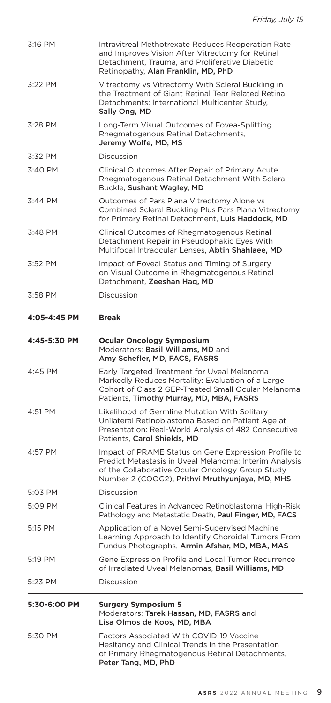| 4:57 PM<br>5:03 PM<br>5:09 PM<br>5:15 PM<br>5:19 PM<br>5:23 PM | Patients, Carol Shields, MD<br>Impact of PRAME Status on Gene Expression Profile to<br>Predict Metastasis in Uveal Melanoma: Interim Analysis<br>of the Collaborative Ocular Oncology Group Study<br>Number 2 (COOG2), Prithvi Mruthyunjaya, MD, MHS<br>Discussion<br>Clinical Features in Advanced Retinoblastoma: High-Risk<br>Pathology and Metastatic Death, Paul Finger, MD, FACS<br>Application of a Novel Semi-Supervised Machine<br>Learning Approach to Identify Choroidal Tumors From<br>Fundus Photographs, Armin Afshar, MD, MBA, MAS<br>Gene Expression Profile and Local Tumor Recurrence<br>of Irradiated Uveal Melanomas, Basil Williams, MD<br>Discussion |
|----------------------------------------------------------------|----------------------------------------------------------------------------------------------------------------------------------------------------------------------------------------------------------------------------------------------------------------------------------------------------------------------------------------------------------------------------------------------------------------------------------------------------------------------------------------------------------------------------------------------------------------------------------------------------------------------------------------------------------------------------|
|                                                                |                                                                                                                                                                                                                                                                                                                                                                                                                                                                                                                                                                                                                                                                            |
|                                                                |                                                                                                                                                                                                                                                                                                                                                                                                                                                                                                                                                                                                                                                                            |
|                                                                |                                                                                                                                                                                                                                                                                                                                                                                                                                                                                                                                                                                                                                                                            |
|                                                                |                                                                                                                                                                                                                                                                                                                                                                                                                                                                                                                                                                                                                                                                            |
|                                                                |                                                                                                                                                                                                                                                                                                                                                                                                                                                                                                                                                                                                                                                                            |
|                                                                |                                                                                                                                                                                                                                                                                                                                                                                                                                                                                                                                                                                                                                                                            |
|                                                                |                                                                                                                                                                                                                                                                                                                                                                                                                                                                                                                                                                                                                                                                            |
| 4:51 PM                                                        | Likelihood of Germline Mutation With Solitary<br>Unilateral Retinoblastoma Based on Patient Age at<br>Presentation: Real-World Analysis of 482 Consecutive                                                                                                                                                                                                                                                                                                                                                                                                                                                                                                                 |
| 4:45 PM                                                        | Early Targeted Treatment for Uveal Melanoma<br>Markedly Reduces Mortality: Evaluation of a Large<br>Cohort of Class 2 GEP-Treated Small Ocular Melanoma<br>Patients, Timothy Murray, MD, MBA, FASRS                                                                                                                                                                                                                                                                                                                                                                                                                                                                        |
| 4:45-5:30 PM                                                   | <b>Ocular Oncology Symposium</b><br>Moderators: Basil Williams, MD and<br>Amy Schefler, MD, FACS, FASRS                                                                                                                                                                                                                                                                                                                                                                                                                                                                                                                                                                    |
| 4:05-4:45 PM                                                   | <b>Break</b>                                                                                                                                                                                                                                                                                                                                                                                                                                                                                                                                                                                                                                                               |
| 3:58 PM                                                        | Discussion                                                                                                                                                                                                                                                                                                                                                                                                                                                                                                                                                                                                                                                                 |
| 3:52 PM                                                        | Impact of Foveal Status and Timing of Surgery<br>on Visual Outcome in Rhegmatogenous Retinal<br>Detachment, Zeeshan Hag, MD                                                                                                                                                                                                                                                                                                                                                                                                                                                                                                                                                |
| 3:48 PM                                                        | Clinical Outcomes of Rhegmatogenous Retinal<br>Detachment Repair in Pseudophakic Eyes With<br>Multifocal Intraocular Lenses, Abtin Shahlaee, MD                                                                                                                                                                                                                                                                                                                                                                                                                                                                                                                            |
| 3:44 PM                                                        | Outcomes of Pars Plana Vitrectomy Alone vs<br>Combined Scleral Buckling Plus Pars Plana Vitrectomy<br>for Primary Retinal Detachment, Luis Haddock, MD                                                                                                                                                                                                                                                                                                                                                                                                                                                                                                                     |
| 3:40 PM                                                        | Clinical Outcomes After Repair of Primary Acute<br>Rhegmatogenous Retinal Detachment With Scleral<br>Buckle, Sushant Wagley, MD                                                                                                                                                                                                                                                                                                                                                                                                                                                                                                                                            |
| 3:32 PM                                                        | Discussion                                                                                                                                                                                                                                                                                                                                                                                                                                                                                                                                                                                                                                                                 |
| 3:28 PM                                                        | Long-Term Visual Outcomes of Fovea-Splitting<br>Rhegmatogenous Retinal Detachments,<br>Jeremy Wolfe, MD, MS                                                                                                                                                                                                                                                                                                                                                                                                                                                                                                                                                                |
| 3:22 PM                                                        | Vitrectomy vs Vitrectomy With Scleral Buckling in<br>the Treatment of Giant Retinal Tear Related Retinal<br>Detachments: International Multicenter Study,<br>Sally Ong, MD                                                                                                                                                                                                                                                                                                                                                                                                                                                                                                 |
|                                                                | Retinopathy, Alan Franklin, MD, PhD                                                                                                                                                                                                                                                                                                                                                                                                                                                                                                                                                                                                                                        |
| 3:16 PM                                                        | Intravitreal Methotrexate Reduces Reoperation Rate<br>and Improves Vision After Vitrectomy for Retinal<br>Detachment, Trauma, and Proliferative Diabetic                                                                                                                                                                                                                                                                                                                                                                                                                                                                                                                   |

| Moderators: Tarek Hassan, MD. FASRS and |
|-----------------------------------------|
| Lisa Olmos de Koos, MD, MBA             |

5:30 PM Factors Associated With COVID-19 Vaccine Hesitancy and Clinical Trends in the Presentation of Primary Rhegmatogenous Retinal Detachments, Peter Tang, MD, PhD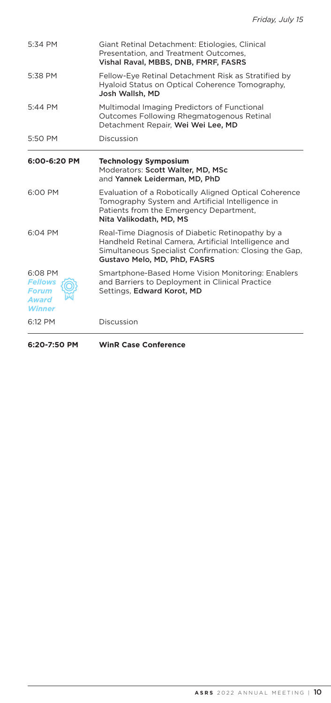| 5:34 PM                                                                    | Giant Retinal Detachment: Etiologies, Clinical<br>Presentation, and Treatment Outcomes.<br>Vishal Raval, MBBS, DNB, FMRF, FASRS                                                                    |
|----------------------------------------------------------------------------|----------------------------------------------------------------------------------------------------------------------------------------------------------------------------------------------------|
| 5:38 PM                                                                    | Fellow-Eye Retinal Detachment Risk as Stratified by<br>Hyaloid Status on Optical Coherence Tomography,<br>Josh Wallsh, MD                                                                          |
| 5:44 PM                                                                    | Multimodal Imaging Predictors of Functional<br>Outcomes Following Rhegmatogenous Retinal<br>Detachment Repair, Wei Wei Lee, MD                                                                     |
| 5:50 PM                                                                    | Discussion                                                                                                                                                                                         |
| 6:00-6:20 PM                                                               | <b>Technology Symposium</b><br>Moderators: Scott Walter, MD, MSc<br>and Yannek Leiderman, MD, PhD                                                                                                  |
| 6:00 PM                                                                    | Evaluation of a Robotically Aligned Optical Coherence<br>Tomography System and Artificial Intelligence in<br>Patients from the Emergency Department.<br>Nita Valikodath, MD, MS                    |
| 6:04 PM                                                                    | Real-Time Diagnosis of Diabetic Retinopathy by a<br>Handheld Retinal Camera, Artificial Intelligence and<br>Simultaneous Specialist Confirmation: Closing the Gap.<br>Gustavo Melo, MD, PhD, FASRS |
| 6:08 PM<br><b>Fellows</b><br><b>Forum</b><br><b>Award</b><br><b>Winner</b> | Smartphone-Based Home Vision Monitoring: Enablers<br>and Barriers to Deployment in Clinical Practice<br>Settings, Edward Korot, MD                                                                 |
| 6:12 PM                                                                    | Discussion                                                                                                                                                                                         |

**6:20-7:50 PM WinR Case Conference**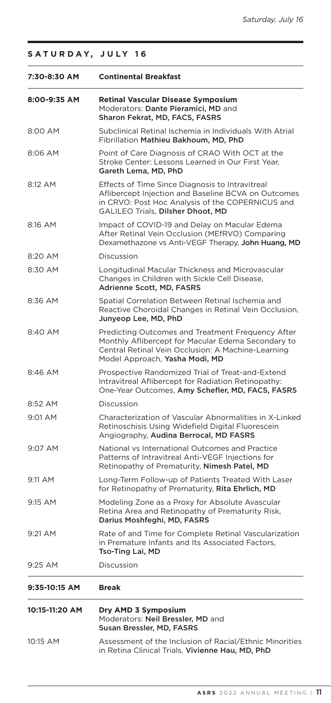| SATURDAY, JULY 16 |  |  |
|-------------------|--|--|
|-------------------|--|--|

| 7:30-8:30 AM   | <b>Continental Breakfast</b>                                                                                                                                                                    |
|----------------|-------------------------------------------------------------------------------------------------------------------------------------------------------------------------------------------------|
| 8:00-9:35 AM   | <b>Retinal Vascular Disease Symposium</b><br>Moderators: Dante Pieramici, MD and<br>Sharon Fekrat, MD, FACS, FASRS                                                                              |
| 8:00 AM        | Subclinical Retinal Ischemia in Individuals With Atrial<br>Fibrillation Mathieu Bakhoum, MD, PhD                                                                                                |
| 8:06 AM        | Point of Care Diagnosis of CRAO With OCT at the<br>Stroke Center: Lessons Learned in Our First Year,<br>Gareth Lema, MD, PhD                                                                    |
| 8:12 AM        | Effects of Time Since Diagnosis to Intravitreal<br>Aflibercept Injection and Baseline BCVA on Outcomes<br>in CRVO: Post Hoc Analysis of the COPERNICUS and<br>GALILEO Trials, Dilsher Dhoot, MD |
| 8:16 AM        | Impact of COVID-19 and Delay on Macular Edema<br>After Retinal Vein Occlusion (MEfRVO) Comparing<br>Dexamethazone vs Anti-VEGF Therapy, John Huang, MD                                          |
| 8:20 AM        | Discussion                                                                                                                                                                                      |
| 8:30 AM        | Longitudinal Macular Thickness and Microvascular<br>Changes in Children with Sickle Cell Disease.<br>Adrienne Scott, MD, FASRS                                                                  |
| 8:36 AM        | Spatial Correlation Between Retinal Ischemia and<br>Reactive Choroidal Changes in Retinal Vein Occlusion,<br>Junyeop Lee, MD, PhD                                                               |
| 8:40 AM        | Predicting Outcomes and Treatment Frequency After<br>Monthly Aflibercept for Macular Edema Secondary to<br>Central Retinal Vein Occlusion: A Machine-Learning<br>Model Approach, Yasha Modi, MD |
| 8:46 AM        | Prospective Randomized Trial of Treat-and-Extend<br>Intravitreal Aflibercept for Radiation Retinopathy:<br>One-Year Outcomes, Amy Schefler, MD, FACS, FASRS                                     |
| 8:52 AM        | Discussion                                                                                                                                                                                      |
| 9:01 AM        | Characterization of Vascular Abnormalities in X-Linked<br>Retinoschisis Using Widefield Digital Fluorescein<br>Angiography, Audina Berrocal, MD FASRS                                           |
| 9:07 AM        | National vs International Outcomes and Practice<br>Patterns of Intravitreal Anti-VEGF Injections for<br>Retinopathy of Prematurity, Nimesh Patel, MD                                            |
| 9:11 AM        | Long-Term Follow-up of Patients Treated With Laser<br>for Retinopathy of Prematurity, Rita Ehrlich, MD                                                                                          |
| 9:15 AM        | Modeling Zone as a Proxy for Absolute Avascular<br>Retina Area and Retinopathy of Prematurity Risk,<br>Darius Moshfeghi, MD, FASRS                                                              |
| 9:21 AM        | Rate of and Time for Complete Retinal Vascularization<br>in Premature Infants and Its Associated Factors,<br>Tso-Ting Lai, MD                                                                   |
| 9:25 AM        | Discussion                                                                                                                                                                                      |
| 9:35-10:15 AM  | <b>Break</b>                                                                                                                                                                                    |
| 10:15-11:20 AM | Dry AMD 3 Symposium<br>Moderators: Neil Bressler, MD and<br>Susan Bressler, MD, FASRS                                                                                                           |
| 10:15 AM       | Assessment of the Inclusion of Racial/Ethnic Minorities<br>in Retina Clinical Trials, Vivienne Hau, MD, PhD                                                                                     |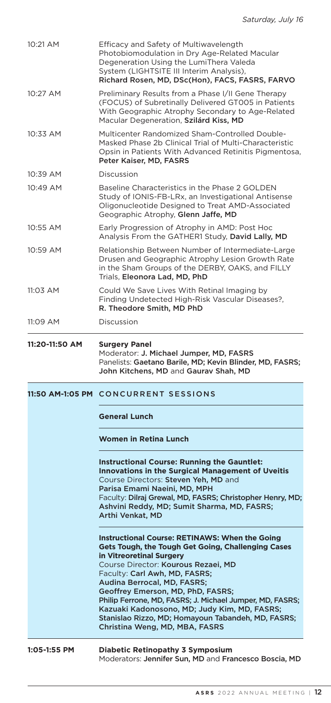|                | Faculty: Dilraj Grewal, MD, FASRS; Christopher Henry, MD;<br>Ashvini Reddy, MD; Sumit Sharma, MD, FASRS;<br>Arthi Venkat, MD<br><b>Instructional Course: RETINAWS: When the Going</b><br>Gets Tough, the Tough Get Going, Challenging Cases<br>in Vitreoretinal Surgery<br>Course Director: Kourous Rezaei, MD<br>Faculty: Carl Awh, MD, FASRS;<br>Audina Berrocal, MD, FASRS;<br>Geoffrey Emerson, MD, PhD, FASRS;<br>Philip Ferrone, MD, FASRS; J. Michael Jumper, MD, FASRS;<br>Kazuaki Kadonosono, MD; Judy Kim, MD, FASRS;<br>Stanislao Rizzo, MD; Homayoun Tabandeh, MD, FASRS;<br>Christina Weng, MD, MBA, FASRS |
|----------------|-------------------------------------------------------------------------------------------------------------------------------------------------------------------------------------------------------------------------------------------------------------------------------------------------------------------------------------------------------------------------------------------------------------------------------------------------------------------------------------------------------------------------------------------------------------------------------------------------------------------------|
|                |                                                                                                                                                                                                                                                                                                                                                                                                                                                                                                                                                                                                                         |
|                | <b>Instructional Course: Running the Gauntlet:</b><br><b>Innovations in the Surgical Management of Uveitis</b><br>Course Directors: Steven Yeh, MD and<br>Parisa Emami Naeini, MD, MPH                                                                                                                                                                                                                                                                                                                                                                                                                                  |
|                | Women in Retina Lunch                                                                                                                                                                                                                                                                                                                                                                                                                                                                                                                                                                                                   |
|                | <b>General Lunch</b>                                                                                                                                                                                                                                                                                                                                                                                                                                                                                                                                                                                                    |
|                | 11:50 AM-1:05 PM CONCURRENT SESSIONS                                                                                                                                                                                                                                                                                                                                                                                                                                                                                                                                                                                    |
| 11:20-11:50 AM | <b>Surgery Panel</b><br>Moderator: J. Michael Jumper, MD, FASRS<br>Panelists: Gaetano Barile, MD; Kevin Blinder, MD, FASRS;<br>John Kitchens, MD and Gaurav Shah, MD                                                                                                                                                                                                                                                                                                                                                                                                                                                    |
| 11:09 AM       | Discussion                                                                                                                                                                                                                                                                                                                                                                                                                                                                                                                                                                                                              |
| 11:03 AM       | Could We Save Lives With Retinal Imaging by<br>Finding Undetected High-Risk Vascular Diseases?,<br>R. Theodore Smith, MD PhD                                                                                                                                                                                                                                                                                                                                                                                                                                                                                            |
| 10:59 AM       | Relationship Between Number of Intermediate-Large<br>Drusen and Geographic Atrophy Lesion Growth Rate<br>in the Sham Groups of the DERBY, OAKS, and FILLY<br>Trials, Eleonora Lad, MD, PhD                                                                                                                                                                                                                                                                                                                                                                                                                              |
| 10:55 AM       | Early Progression of Atrophy in AMD: Post Hoc<br>Analysis From the GATHER1 Study, David Lally, MD                                                                                                                                                                                                                                                                                                                                                                                                                                                                                                                       |
| 10:49 AM       | Baseline Characteristics in the Phase 2 GOLDEN<br>Study of IONIS-FB-LRx, an Investigational Antisense<br>Oligonucleotide Designed to Treat AMD-Associated<br>Geographic Atrophy, Glenn Jaffe, MD                                                                                                                                                                                                                                                                                                                                                                                                                        |
| 10:39 AM       | Discussion                                                                                                                                                                                                                                                                                                                                                                                                                                                                                                                                                                                                              |
| 10:33 AM       | Multicenter Randomized Sham-Controlled Double-<br>Masked Phase 2b Clinical Trial of Multi-Characteristic<br>Opsin in Patients With Advanced Retinitis Pigmentosa,<br>Peter Kaiser, MD, FASRS                                                                                                                                                                                                                                                                                                                                                                                                                            |
| 10:27 AM       | Preliminary Results from a Phase I/II Gene Therapy<br>(FOCUS) of Subretinally Delivered GT005 in Patients<br>With Geographic Atrophy Secondary to Age-Related<br>Macular Degeneration, Szilárd Kiss, MD                                                                                                                                                                                                                                                                                                                                                                                                                 |
|                | System (LIGHTSITE III Interim Analysis),<br>Richard Rosen, MD, DSc(Hon), FACS, FASRS, FARVO                                                                                                                                                                                                                                                                                                                                                                                                                                                                                                                             |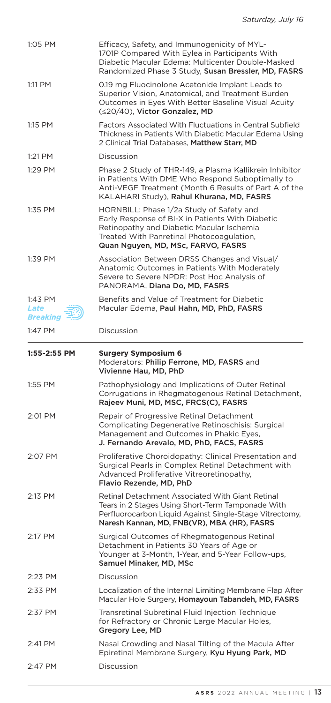| 1:05 PM                     | Efficacy, Safety, and Immunogenicity of MYL-<br>1701P Compared With Eylea in Participants With<br>Diabetic Macular Edema: Multicenter Double-Masked<br>Randomized Phase 3 Study, Susan Bressler, MD, FASRS                   |
|-----------------------------|------------------------------------------------------------------------------------------------------------------------------------------------------------------------------------------------------------------------------|
| 1:11 PM                     | 0.19 mg Fluocinolone Acetonide Implant Leads to<br>Superior Vision, Anatomical, and Treatment Burden<br>Outcomes in Eyes With Better Baseline Visual Acuity<br>(≤20/40), Victor Gonzalez, MD                                 |
| 1:15 PM                     | Factors Associated With Fluctuations in Central Subfield<br>Thickness in Patients With Diabetic Macular Edema Using<br>2 Clinical Trial Databases, Matthew Starr, MD                                                         |
| 1:21 PM                     | Discussion                                                                                                                                                                                                                   |
| 1:29 PM                     | Phase 2 Study of THR-149, a Plasma Kallikrein Inhibitor<br>in Patients With DME Who Respond Suboptimally to<br>Anti-VEGF Treatment (Month 6 Results of Part A of the<br>KALAHARI Study), Rahul Khurana, MD, FASRS            |
| 1:35 PM                     | HORNBILL: Phase 1/2a Study of Safety and<br>Early Response of BI-X in Patients With Diabetic<br>Retinopathy and Diabetic Macular Ischemia<br>Treated With Panretinal Photocoagulation,<br>Quan Nguyen, MD, MSc, FARVO, FASRS |
| 1:39 PM                     | Association Between DRSS Changes and Visual/<br>Anatomic Outcomes in Patients With Moderately<br>Severe to Severe NPDR: Post Hoc Analysis of<br>PANORAMA, Diana Do, MD, FASRS                                                |
| 1:43 PM<br>Late<br>Breaking | Benefits and Value of Treatment for Diabetic<br>Macular Edema, Paul Hahn, MD, PhD, FASRS                                                                                                                                     |
| 1:47 PM                     | Discussion                                                                                                                                                                                                                   |
| 1:55-2:55 PM                | <b>Surgery Symposium 6</b>                                                                                                                                                                                                   |
|                             | Moderators: Philip Ferrone, MD, FASRS and<br>Vivienne Hau, MD, PhD                                                                                                                                                           |
| 1:55 PM                     | Pathophysiology and Implications of Outer Retinal<br>Corrugations in Rhegmatogenous Retinal Detachment,<br>Rajeev Muni, MD, MSC, FRCS(C), FASRS                                                                              |
| 2:01 PM                     | Repair of Progressive Retinal Detachment<br><b>Complicating Degenerative Retinoschisis: Surgical</b><br>Management and Outcomes in Phakic Eyes,<br>J. Fernando Arevalo, MD, PhD, FACS, FASRS                                 |
| 2:07 PM                     | Proliferative Choroidopathy: Clinical Presentation and<br>Surgical Pearls in Complex Retinal Detachment with<br>Advanced Proliferative Vitreoretinopathy,<br>Flavio Rezende, MD, PhD                                         |
| 2:13 PM                     | Retinal Detachment Associated With Giant Retinal<br>Tears in 2 Stages Using Short-Term Tamponade With<br>Perfluorocarbon Liquid Against Single-Stage Vitrectomy,<br>Naresh Kannan, MD, FNB(VR), MBA (HR), FASRS              |
| 2:17 PM                     | Surgical Outcomes of Rhegmatogenous Retinal<br>Detachment in Patients 30 Years of Age or<br>Younger at 3-Month, 1-Year, and 5-Year Follow-ups,<br>Samuel Minaker, MD, MSc                                                    |
| 2:23 PM                     | Discussion                                                                                                                                                                                                                   |
| 2:33 PM                     | Localization of the Internal Limiting Membrane Flap After<br>Macular Hole Surgery, Homayoun Tabandeh, MD, FASRS                                                                                                              |
| 2:37 PM                     | Transretinal Subretinal Fluid Injection Technique<br>for Refractory or Chronic Large Macular Holes,<br>Gregory Lee, MD                                                                                                       |
| 2:41 PM                     | Nasal Crowding and Nasal Tilting of the Macula After<br>Epiretinal Membrane Surgery, Kyu Hyung Park, MD                                                                                                                      |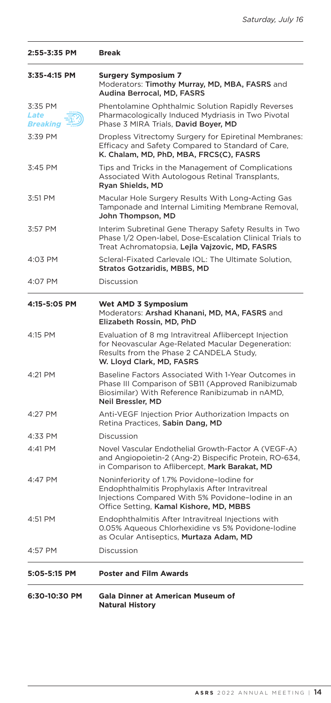| 2:55-3:35 PM                | <b>Break</b>                                                                                                                                                                                 |
|-----------------------------|----------------------------------------------------------------------------------------------------------------------------------------------------------------------------------------------|
| 3:35-4:15 PM                | <b>Surgery Symposium 7</b><br>Moderators: Timothy Murray, MD, MBA, FASRS and<br>Audina Berrocal, MD, FASRS                                                                                   |
| 3:35 PM<br>Late<br>Breaking | Phentolamine Ophthalmic Solution Rapidly Reverses<br>Pharmacologically Induced Mydriasis in Two Pivotal<br>Phase 3 MIRA Trials, David Boyer, MD                                              |
| 3:39 PM                     | Dropless Vitrectomy Surgery for Epiretinal Membranes:<br>Efficacy and Safety Compared to Standard of Care,<br>K. Chalam, MD, PhD, MBA, FRCS(C), FASRS                                        |
| 3:45 PM                     | Tips and Tricks in the Management of Complications<br>Associated With Autologous Retinal Transplants,<br>Ryan Shields, MD                                                                    |
| 3:51 PM                     | Macular Hole Surgery Results With Long-Acting Gas<br>Tamponade and Internal Limiting Membrane Removal,<br>John Thompson, MD                                                                  |
| 3:57 PM                     | Interim Subretinal Gene Therapy Safety Results in Two<br>Phase 1/2 Open-label, Dose-Escalation Clinical Trials to<br>Treat Achromatopsia, Lejla Vajzovic, MD, FASRS                          |
| 4:03 PM                     | Scleral-Fixated Carlevale IOL: The Ultimate Solution,<br><b>Stratos Gotzaridis, MBBS, MD</b>                                                                                                 |
| 4:07 PM                     | Discussion                                                                                                                                                                                   |
| 4:15-5:05 PM                | Wet AMD 3 Symposium<br>Moderators: Arshad Khanani, MD, MA, FASRS and<br>Elizabeth Rossin, MD, PhD                                                                                            |
| 4:15 PM                     | Evaluation of 8 mg Intravitreal Aflibercept Injection<br>for Neovascular Age-Related Macular Degeneration:<br>Results from the Phase 2 CANDELA Study,<br>W. Lloyd Clark, MD, FASRS           |
| 4:21 PM                     | Baseline Factors Associated With 1-Year Outcomes in<br>Phase III Comparison of SB11 (Approved Ranibizumab<br>Biosimilar) With Reference Ranibizumab in nAMD,<br>Neil Bressler, MD            |
| 4:27 PM                     | Anti-VEGF Injection Prior Authorization Impacts on<br>Retina Practices, Sabin Dang, MD                                                                                                       |
| 4:33 PM                     | Discussion                                                                                                                                                                                   |
| 4:41 PM                     | Novel Vascular Endothelial Growth-Factor A (VEGF-A)<br>and Angiopoietin-2 (Ang-2) Bispecific Protein, RO-634,<br>in Comparison to Aflibercept, Mark Barakat, MD                              |
| 4:47 PM                     | Noninferiority of 1.7% Povidone-lodine for<br>Endophthalmitis Prophylaxis After Intravitreal<br>Injections Compared With 5% Povidone-Iodine in an<br>Office Setting, Kamal Kishore, MD, MBBS |
| 4:51 PM                     | Endophthalmitis After Intravitreal Injections with<br>0.05% Aqueous Chlorhexidine vs 5% Povidone-Iodine<br>as Ocular Antiseptics, Murtaza Adam, MD                                           |
| 4:57 PM                     | Discussion                                                                                                                                                                                   |
| 5:05-5:15 PM                | <b>Poster and Film Awards</b>                                                                                                                                                                |
| 6:30-10:30 PM               | Gala Dinner at American Museum of<br><b>Natural History</b>                                                                                                                                  |